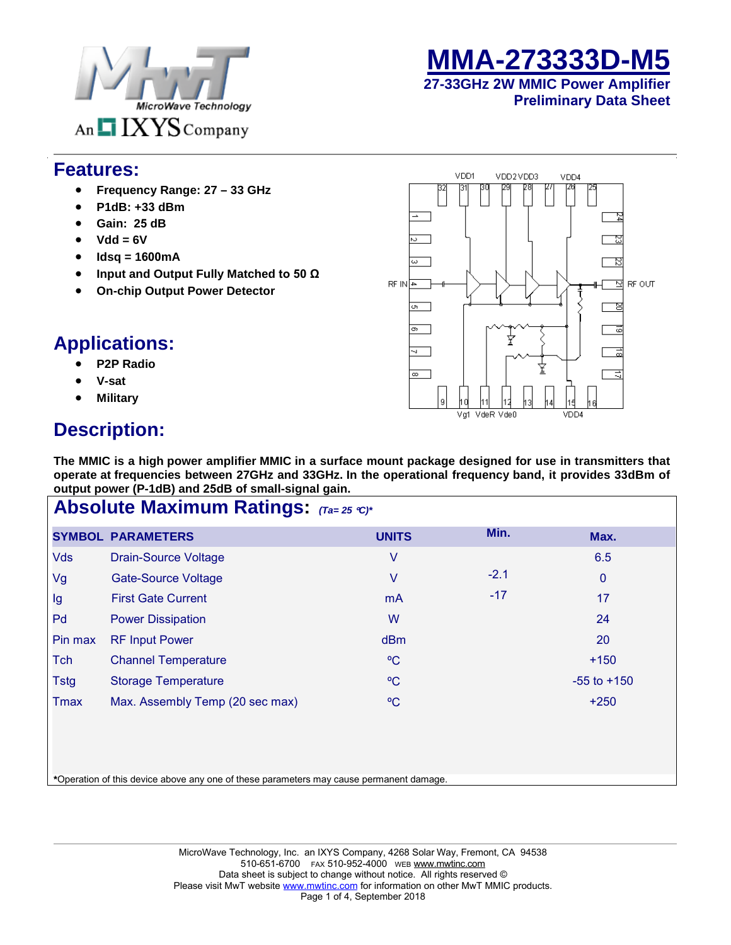



#### **27-33GHz 2W MMIC Power Amplifier Preliminary Data Sheet**

#### **Features:**

- **Frequency Range: 27 33 GHz**
- **P1dB: +33 dBm**
- **Gain: 25 dB**
- **Vdd = 6V**
- **Idsq = 1600mA**
- **Input and Output Fully Matched to 50 Ω**
- **On-chip Output Power Detector**

## **Applications:**

- **P2P Radio**
- **V-sat**
- **Military**

# **Description:**

**The MMIC is a high power amplifier MMIC in a surface mount package designed for use in transmitters that operate at frequencies between 27GHz and 33GHz. In the operational frequency band, it provides 33dBm of output power (P-1dB) and 25dB of small-signal gain.** 

| <b>Absolute Maximum Ratings:</b> (Ta=25 °C)* |                                 |                |        |                 |  |  |
|----------------------------------------------|---------------------------------|----------------|--------|-----------------|--|--|
|                                              | <b>SYMBOL PARAMETERS</b>        | <b>UNITS</b>   | Min.   | Max.            |  |  |
| <b>Vds</b>                                   | <b>Drain-Source Voltage</b>     | ٧              |        | 6.5             |  |  |
| Vg                                           | <b>Gate-Source Voltage</b>      | V              | $-2.1$ | $\mathbf 0$     |  |  |
| Ig                                           | <b>First Gate Current</b>       | m <sub>A</sub> | $-17$  | 17              |  |  |
| Pd                                           | <b>Power Dissipation</b>        | W              |        | 24              |  |  |
| Pin max                                      | <b>RF Input Power</b>           | dBm            |        | 20              |  |  |
| Tch                                          | <b>Channel Temperature</b>      | $\rm ^{o}C$    |        | $+150$          |  |  |
| Tstg                                         | <b>Storage Temperature</b>      | $\rm ^{o}C$    |        | $-55$ to $+150$ |  |  |
| Tmax                                         | Max. Assembly Temp (20 sec max) | $\rm ^{o}C$    |        | $+250$          |  |  |
|                                              |                                 |                |        |                 |  |  |
|                                              |                                 |                |        |                 |  |  |

**\***Operation of this device above any one of these parameters may cause permanent damage.

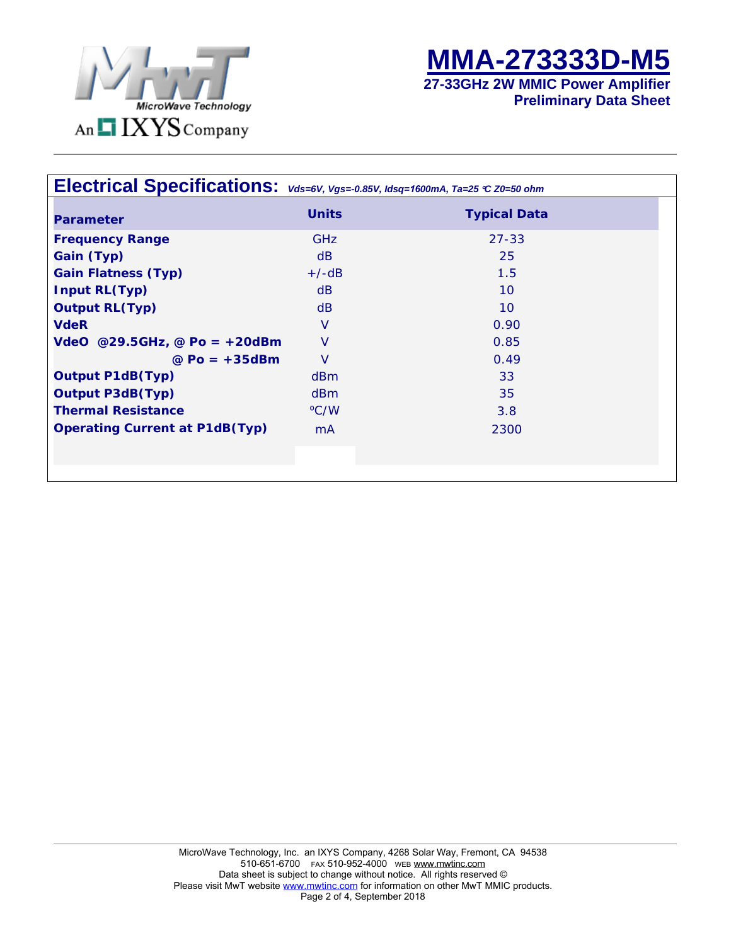



**Preliminary Data Sheet** 

| Electrical Specifications: $\mathsf{v}_{ds=6\mathsf{V}, \mathsf{Vgs=.0.85\mathsf{V}, \textit{lds}=1600mA, \textit{Ta}=25}$ $\mathsf{c}$ z0=50 ohm |                  |                     |
|---------------------------------------------------------------------------------------------------------------------------------------------------|------------------|---------------------|
| <b>Parameter</b>                                                                                                                                  | <b>Units</b>     | <b>Typical Data</b> |
| <b>Frequency Range</b>                                                                                                                            | <b>GHz</b>       | $27 - 33$           |
| Gain (Typ)                                                                                                                                        | dB               | 25                  |
| <b>Gain Flatness (Typ)</b>                                                                                                                        | $+/-dB$          | 1.5                 |
| <b>Input RL(Typ)</b>                                                                                                                              | dB               | 10                  |
| <b>Output RL(Typ)</b>                                                                                                                             | dB               | 10                  |
| <b>VdeR</b>                                                                                                                                       | $\vee$           | 0.90                |
| $VdeO$ @29.5GHz, @ Po = +20dBm                                                                                                                    | $\vee$           | 0.85                |
| $@$ Po = $+35$ dBm                                                                                                                                | $\vee$           | 0.49                |
| <b>Output P1dB(Typ)</b>                                                                                                                           | d <sub>B</sub> m | 33                  |
| <b>Output P3dB(Typ)</b>                                                                                                                           | d <sub>B</sub> m | 35                  |
| <b>Thermal Resistance</b>                                                                                                                         | °C/W             | 3.8                 |
| <b>Operating Current at P1dB(Typ)</b>                                                                                                             | <b>mA</b>        | 2300                |
|                                                                                                                                                   |                  |                     |
|                                                                                                                                                   |                  |                     |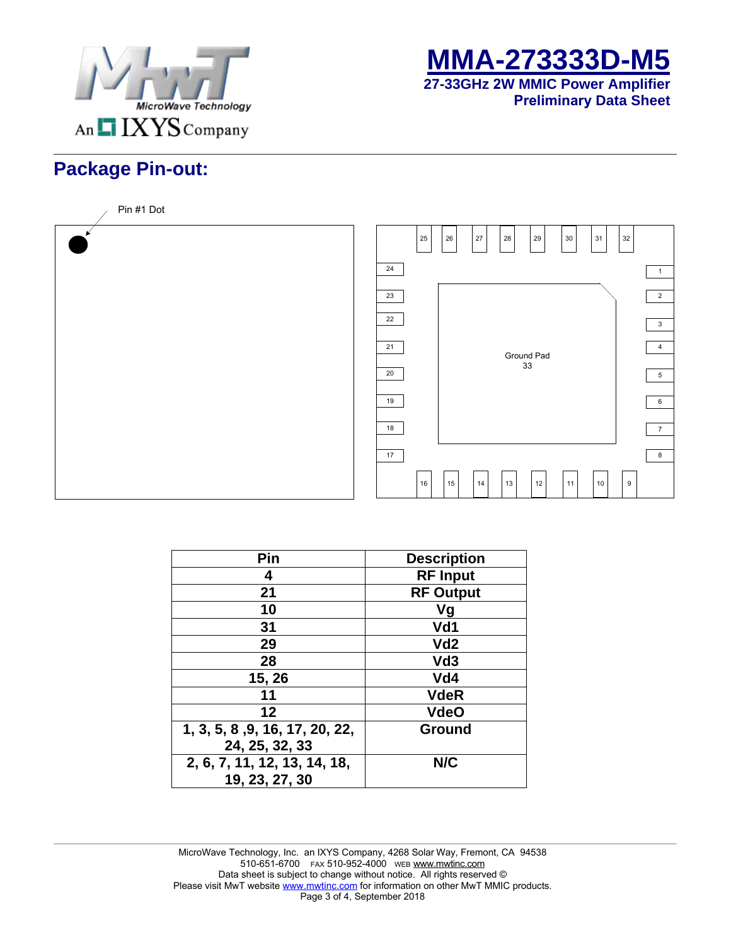



**Preliminary Data Sheet** 

# **Package Pin-out:**



| Pin                            | <b>Description</b> |
|--------------------------------|--------------------|
| 4                              | <b>RF Input</b>    |
| 21                             | <b>RF Output</b>   |
| 10                             | Vg                 |
| 31                             | Vd1                |
| 29                             | Vd <sub>2</sub>    |
| 28                             | Vd <sub>3</sub>    |
| 15, 26                         | Vd4                |
| 11                             | <b>VdeR</b>        |
| 12                             | <b>VdeO</b>        |
| 1, 3, 5, 8, 9, 16, 17, 20, 22, | <b>Ground</b>      |
| 24, 25, 32, 33                 |                    |
| 2, 6, 7, 11, 12, 13, 14, 18,   | N/C                |
| 19, 23, 27, 30                 |                    |